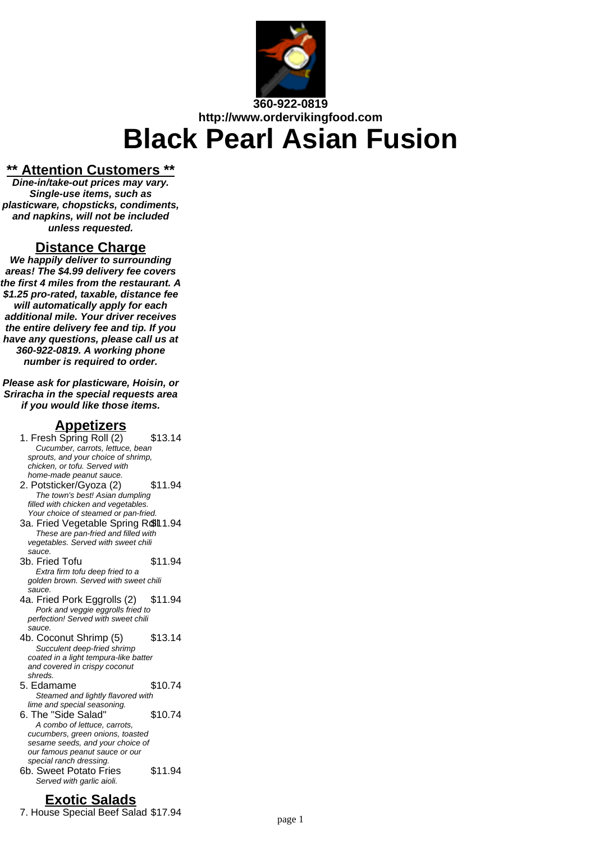

# **360-922-0819 http://www.ordervikingfood.com Black Pearl Asian Fusion**

### **\*\* Attention Customers \*\***

**Dine-in/take-out prices may vary. Single-use items, such as plasticware, chopsticks, condiments, and napkins, will not be included unless requested.**

#### **Distance Charge**

**We happily deliver to surrounding areas! The \$4.99 delivery fee covers the first 4 miles from the restaurant. A \$1.25 pro-rated, taxable, distance fee will automatically apply for each additional mile. Your driver receives the entire delivery fee and tip. If you have any questions, please call us at 360-922-0819. A working phone number is required to order.**

**Please ask for plasticware, Hoisin, or Sriracha in the special requests area if you would like those items.**

### **Appetizers**

- 1. Fresh Spring Roll (2) \$13.14 Cucumber, carrots, lettuce, bean sprouts, and your choice of shrimp, chicken, or tofu. Served with home-made peanut sauce.
- 2. Potsticker/Gyoza (2) \$11.94 The town's best! Asian dumpling filled with chicken and vegetables. Your choice of steamed or pan-fried.
- 3a. Fried Vegetable Spring Roll 1.94 These are pan-fried and filled with vegetables. Served with sweet chili sauce.
- 3b. Fried Tofu 511.94 Extra firm tofu deep fried to a golden brown. Served with sweet chili  $\overline{\mathbf{S}}$
- 4a. Fried Pork Eggrolls (2) \$11.94 Pork and veggie eggrolls fried to perfection! Served with sweet chili .<br>sauce.
- 4b. Coconut Shrimp (5) \$13.14 Succulent deep-fried shrimp coated in a light tempura-like batter and covered in crispy coconut shreds. 5. Edamame \$10.74 Steamed and lightly flavored with lime and special seasoning. 6. The "Side Salad" \$10.74
- A combo of lettuce, carrots, cucumbers, green onions, toasted sesame seeds, and your choice of our famous peanut sauce or our special ranch dressing.
- 6b. Sweet Potato Fries \$11.94 Served with garlic aioli.

# **Exotic Salads**

7. House Special Beef Salad \$17.94 page 1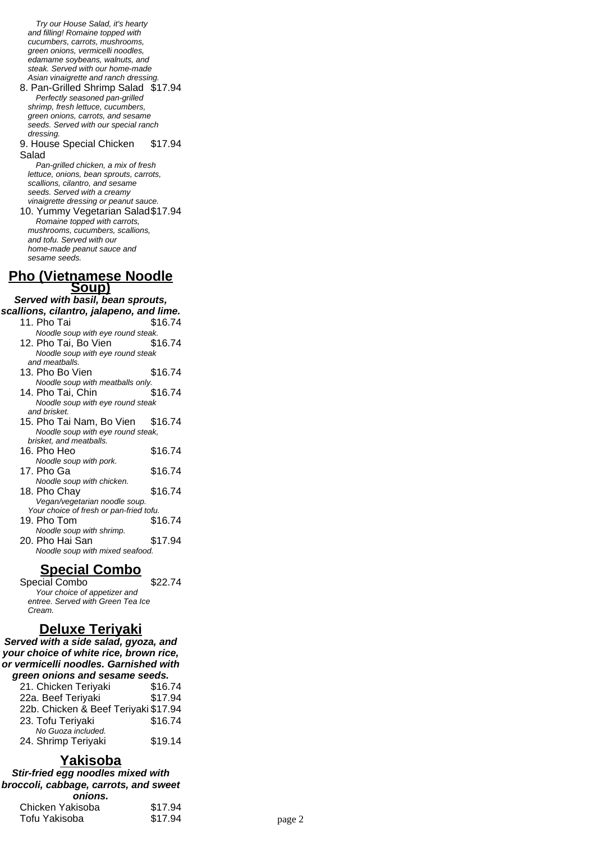Try our House Salad, it's hearty and filling! Romaine topped with cucumbers, carrots, mushrooms, green onions, vermicelli noodles, edamame soybeans, walnuts, and steak. Served with our home-made Asian vinaigrette and ranch dressing.

8. Pan-Grilled Shrimp Salad \$17.94 Perfectly seasoned pan-grilled shrimp, fresh lettuce, cucumbers, green onions, carrots, and sesame seeds. Served with our special ranch dressing.

#### 9. House Special Chicken Salad \$17.94

Pan-grilled chicken, a mix of fresh lettuce, onions, bean sprouts, carrots, scallions, cilantro, and sesame seeds. Served with a creamy vinaigrette dressing or peanut sauce.

10. Yummy Vegetarian Salad\$17.94 Romaine topped with carrots, mushrooms, cucumbers, scallions, and tofu. Served with our home-made peanut sauce and sesame seeds.

#### **Pho (Vietnamese Noodle Soup)**

**Served with basil, bean sprouts,**

| .<br>scallions, cilantro, jalapeno, and lime. |         |  |
|-----------------------------------------------|---------|--|
| 11. Pho Tai                                   | \$16.74 |  |
| Noodle soup with eye round steak.             |         |  |
| 12. Pho Tai, Bo Vien                          | \$16.74 |  |
| Noodle soup with eye round steak              |         |  |
| and meatballs.                                |         |  |
| 13. Pho Bo Vien                               | \$16.74 |  |
| Noodle soup with meatballs only.              |         |  |
| 14. Pho Tai, Chin                             | \$16.74 |  |
| Noodle soup with eye round steak              |         |  |
| and brisket.                                  |         |  |
| 15. Pho Tai Nam, Bo Vien                      | \$16.74 |  |
| Noodle soup with eye round steak,             |         |  |
| brisket, and meatballs.                       |         |  |
| 16. Pho Heo                                   | \$16.74 |  |
| Noodle soup with pork.                        |         |  |
| 17. Pho Ga                                    | \$16.74 |  |
| Noodle soup with chicken.                     |         |  |
| 18. Pho Chav                                  | \$16.74 |  |
| Vegan/vegetarian noodle soup.                 |         |  |
| Your choice of fresh or pan-fried tofu.       |         |  |
| 19. Pho Tom                                   | \$16.74 |  |
| Noodle soup with shrimp.                      |         |  |
| 20. Pho Hai San                               | \$17.94 |  |
| Noodle soup with mixed seafood.               |         |  |

### **Special Combo**

Special Combo \$22.74 Your choice of appetizer and entree. Served with Green Tea Ice Cream.

### **Deluxe Teriyaki**

**Served with a side salad, gyoza, and your choice of white rice, brown rice, or vermicelli noodles. Garnished with green onions and sesame seeds.** 21. Chicken Teriyaki \$16.74 22a. Beef Teriyaki  $$17.94$ 22b. Chicken & Beef Teriyaki \$17.94 23. Tofu Teriyaki  $$16.74$ No Guoza included. 24. Shrimp Teriyaki  $$19.14$ 

# **Yakisoba**

#### **Stir-fried egg noodles mixed with broccoli, cabbage, carrots, and sweet onions.** Chicken Yakisoba \$17.94 Tofu Yakisoba  $$17.94$  page 2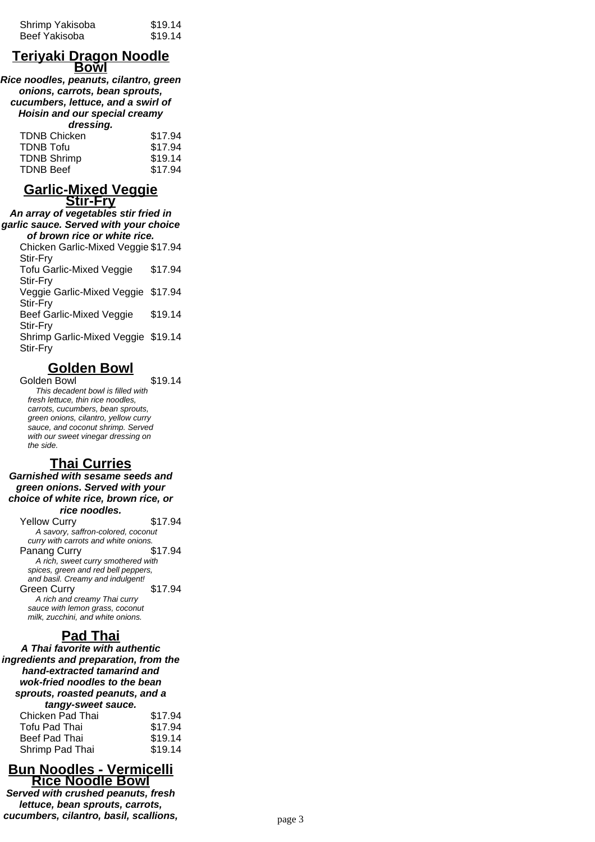| Shrimp Yakisoba | \$19.14 |
|-----------------|---------|
| Beef Yakisoba   | \$19.14 |

#### **Teriyaki Dragon Noodle Bowl**

**Rice noodles, peanuts, cilantro, green onions, carrots, bean sprouts, cucumbers, lettuce, and a swirl of Hoisin and our special creamy dressing.**

| \$17.94 |
|---------|
| \$17.94 |
| \$19.14 |
| \$17.94 |
|         |

#### **Garlic-Mixed Veggie Stir-Fry**

**An array of vegetables stir fried in garlic sauce. Served with your choice of brown rice or white rice.** Chicken Garlic-Mixed Veggie \$17.94 Stir-Fry Tofu Garlic-Mixed Veggie Stir-Fry \$17.94 Veggie Garlic-Mixed Veggie \$17.94 Stir-Fry Beef Garlic-Mixed Veggie Stir-Fry \$19.14 Shrimp Garlic-Mixed Veggie \$19.14 Stir-Fry

# **Golden Bowl**

Golden Bowl \$19.14 This decadent bowl is filled with fresh lettuce, thin rice noodles, carrots, cucumbers, bean sprouts, green onions, cilantro, yellow curry sauce, and coconut shrimp. Served with our sweet vinegar dressing on the side.

# **Thai Curries**

**Garnished with sesame seeds and green onions. Served with your choice of white rice, brown rice, or rice noodles.** Yellow Curry \$17.94 A savory, saffron-colored, coconut curry with carrots and white onions. Panang Curry \$17.94

A rich, sweet curry smothered with spices, green and red bell peppers, and basil. Creamy and indulgent! Green Curry \$17.94 A rich and creamy Thai curry sauce with lemon grass, coconut milk, zucchini, and white onions.

# **Pad Thai**

**A Thai favorite with authentic ingredients and preparation, from the hand-extracted tamarind and wok-fried noodles to the bean sprouts, roasted peanuts, and a tangy-sweet sauce.** Chicken Pad Thai \$17.94<br>Tofu Pad Thai \$17.94 Tofu Pad Thai  $$17.94$ <br>Beef Pad Thai  $$19.14$ Beef Pad Thai \$19.14<br>Shrimp Pad Thai \$19.14 Shrimp Pad Thai

#### **Bun Noodles - Vermicelli Rice Noodle Bowl**

**Served with crushed peanuts, fresh lettuce, bean sprouts, carrots, cucumbers, cilantro, basil, scallions,** page 3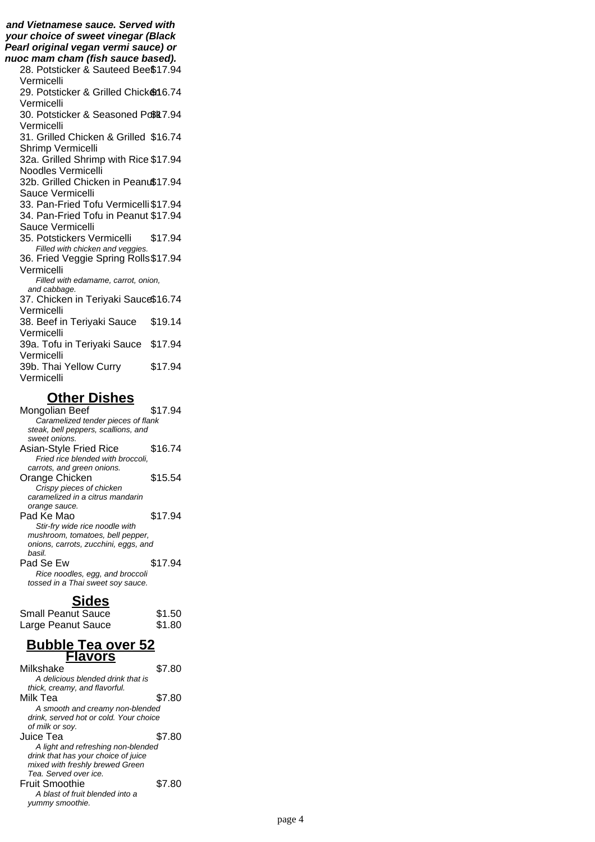**and Vietnamese sauce. Served with your choice of sweet vinegar (Black Pearl original vegan vermi sauce) or nuoc mam cham (fish sauce based).**

- 28. Potsticker & Sauteed Beef \$17.94 Vermicelli
- 29. Potsticker & Grilled Chick a16.74 Vermicelli
- 30. Potsticker & Seasoned Po\$k7.94 Vermicelli
- 31. Grilled Chicken & Grilled \$16.74 Shrimp Vermicelli
- 32a. Grilled Shrimp with Rice \$17.94 Noodles Vermicelli
- 32b. Grilled Chicken in Peanu\$17.94 Sauce Vermicelli
- 33. Pan-Fried Tofu Vermicelli \$17.94
- 34. Pan-Fried Tofu in Peanut \$17.94 Sauce Vermicelli
- 35. Potstickers Vermicelli \$17.94
- Filled with chicken and veggies. 36. Fried Veggie Spring Rolls \$17.94
- Vermicelli Filled with edamame, carrot, onion, and cabbage. 37. Chicken in Teriyaki Sauce \$16.74
- Vermicelli 38. Beef in Teriyaki Sauce Vermicelli \$19.14 39a. Tofu in Teriyaki Sauce \$17.94 Vermicelli 39b. Thai Yellow Curry \$17.94

## **Other Dishes**

Vermicelli

| Mongolian Beef                       | \$17.94 |
|--------------------------------------|---------|
| Caramelized tender pieces of flank   |         |
| steak, bell peppers, scallions, and  |         |
| sweet onions.                        |         |
| Asian-Style Fried Rice               | \$16.74 |
| Fried rice blended with broccoli.    |         |
| carrots, and green onions.           |         |
| Orange Chicken                       | \$15.54 |
| Crispy pieces of chicken             |         |
| caramelized in a citrus mandarin     |         |
| orange sauce.                        |         |
| Pad Ke Mao                           | \$17.94 |
| Stir-fry wide rice noodle with       |         |
| mushroom, tomatoes, bell pepper,     |         |
| onions, carrots, zucchini, eggs, and |         |
| basil.                               |         |
| Pad Se Ew                            | \$17.94 |
| Rice noodles, egg, and broccoli      |         |
| tossed in a Thai sweet soy sauce.    |         |

## **Sides**

| <b>Small Peanut Sauce</b> | \$1.50 |
|---------------------------|--------|
| Large Peanut Sauce        | \$1.80 |

#### **Bubble Tea over 52 Flavors**

| Milkshake                              | \$7.80 |
|----------------------------------------|--------|
| A delicious blended drink that is      |        |
| thick, creamy, and flavorful.          |        |
| Milk Tea                               | \$7.80 |
| A smooth and creamy non-blended        |        |
| drink, served hot or cold. Your choice |        |
| of milk or soy.                        |        |
| Juice Tea                              | \$7.80 |
| A light and refreshing non-blended     |        |
| drink that has your choice of juice    |        |
| mixed with freshly brewed Green        |        |
| Tea. Served over ice.                  |        |
| <b>Fruit Smoothie</b>                  | \$7.80 |
| A blast of fruit blended into a        |        |
| yummy smoothie.                        |        |